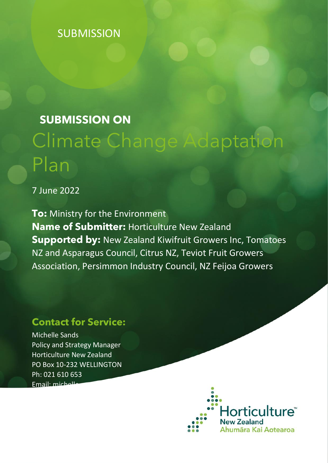# **SUBMISSION**

# **SUBMISSION ON** Climate Change Adaptation Plan

7 June 2022

**To:** Ministry for the Environment **Name of Submitter:** Horticulture New Zealand **Supported by:** New Zealand Kiwifruit Growers Inc, Tomatoes NZ and Asparagus Council, Citrus NZ, Teviot Fruit Growers Association, Persimmon Industry Council, NZ Feijoa Growers

# **Contact for Service:**

Michelle Sands Policy and Strategy Manager Horticulture New Zealand PO Box 10-232 WELLINGTON Ph: 021 610 653 Email: michel

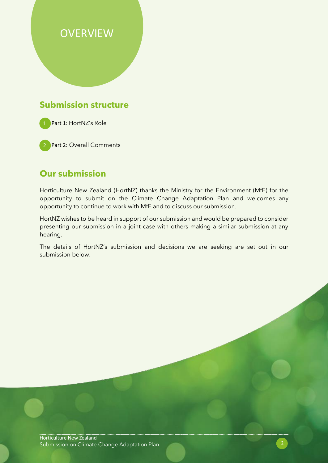# **OVERVIEW**

## **Submission structure**



2 Part 2: Overall Comments

## **Our submission**

Horticulture New Zealand (HortNZ) thanks the Ministry for the Environment (MfE) for the opportunity to submit on the Climate Change Adaptation Plan and welcomes any opportunity to continue to work with MfE and to discuss our submission.

HortNZ wishes to be heard in support of our submission and would be prepared to consider presenting our submission in a joint case with others making a similar submission at any hearing.

The details of HortNZ's submission and decisions we are seeking are set out in our submission below.

Horticulture New Zealand Submission on Climate Change Adaptation Plan 2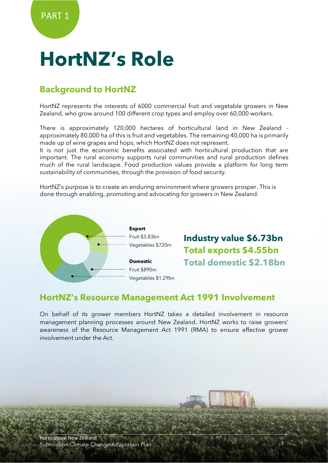# **HortNZ's Role**

# **Background to HortNZ**

HortNZ represents the interests of 6000 commercial fruit and vegetable growers in New Zealand, who grow around 100 different crop types and employ over 60,000 workers.

There is approximately 120,000 hectares of horticultural land in New Zealand approximately 80,000 ha of this is fruit and vegetables. The remaining 40,000 ha is primarily made up of wine grapes and hops, which HortNZ does not represent.

It is not just the economic benefits associated with horticultural production that are important. The rural economy supports rural communities and rural production defines much of the rural landscape. Food production values provide a platform for long term sustainability of communities, through the provision of food security.

HortNZ's purpose is to create an enduring environment where growers prosper. This is done through enabling, promoting and advocating for growers in New Zealand.



**Industry value \$6.73bn Total exports \$4.55bn Total domestic \$2.18bn**

## **HortNZ's Resource Management Act 1991 Involvement**

On behalf of its grower members HortNZ takes a detailed involvement in resource management planning processes around New Zealand. HortNZ works to raise growers' awareness of the Resource Management Act 1991 (RMA) to ensure effective grower involvement under the Act.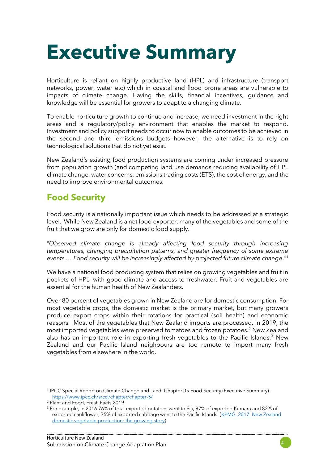

Horticulture is reliant on highly productive land (HPL) and infrastructure (transport networks, power, water etc) which in coastal and flood prone areas are vulnerable to impacts of climate change. Having the skills, financial incentives, guidance and knowledge will be essential for growers to adapt to a changing climate.

To enable horticulture growth to continue and increase, we need investment in the right areas and a regulatory/policy environment that enables the market to respond. Investment and policy support needs to occur now to enable outcomes to be achieved in the second and third emissions budgets—however, the alternative is to rely on technological solutions that do not yet exist.

New Zealand's existing food production systems are coming under increased pressure from population growth (and competing land use demands reducing availability of HPL climate change, water concerns, emissions trading costs (ETS), the cost of energy, and the need to improve environmental outcomes.

# **Food Security**

Food security is a nationally important issue which needs to be addressed at a strategic level. While New Zealand is a net food exporter, many of the vegetables and some of the fruit that we grow are only for domestic food supply.

"*Observed climate change is already affecting food security through increasing temperatures, changing precipitation patterns, and greater frequency of some extreme events … Food security will be increasingly affected by projected future climate change*."<sup>1</sup>

We have a national food producing system that relies on growing vegetables and fruit in pockets of HPL, with good climate and access to freshwater. Fruit and vegetables are essential for the human health of New Zealanders.

Over 80 percent of vegetables grown in New Zealand are for domestic consumption. For most vegetable crops, the domestic market is the primary market, but many growers produce export crops within their rotations for practical (soil health) and economic reasons. Most of the vegetables that New Zealand imports are processed. In 2019, the most imported vegetables were preserved tomatoes and frozen potatoes.<sup>2</sup> New Zealand also has an important role in exporting fresh vegetables to the Pacific Islands.<sup>3</sup> New Zealand and our Pacific Island neighbours are too remote to import many fresh vegetables from elsewhere in the world.



<sup>1</sup> IPCC Special Report on Climate Change and Land. Chapter 05 Food Security (Executive Summary). <https://www.ipcc.ch/srccl/chapter/chapter-5/>

<sup>2</sup> Plant and Food, Fresh Facts 2019

<sup>&</sup>lt;sup>3</sup> For example, in 2016 76% of total exported potatoes went to Fiji, 87% of exported Kumara and 82% of exported cauliflower, 75% of exported cabbage went to the Pacific Islands. (KPMG, 2017. New Zealand [domestic vegetable production: the growing story\)](https://www.hortnz.co.nz/assets/Environment/National-Env-Policy/JR-Reference-Documents-/KPMG-2017-NZ-domestic-vegeable-production-.pdf).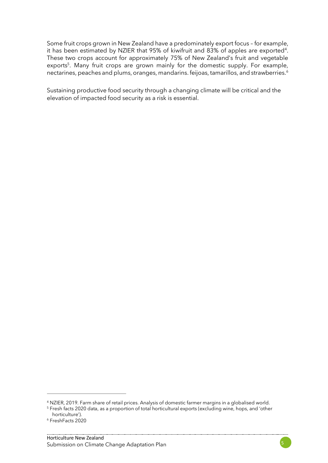Some fruit crops grown in New Zealand have a predominately export focus – for example, it has been estimated by NZIER that 95% of kiwifruit and 83% of apples are exported<sup>4</sup>. These two crops account for approximately 75% of New Zealand's fruit and vegetable exports<sup>5</sup>. Many fruit crops are grown mainly for the domestic supply. For example, nectarines, peaches and plums, oranges, mandarins. feijoas, tamarillos, and strawberries.<sup>6</sup>

Sustaining productive food security through a changing climate will be critical and the elevation of impacted food security as a risk is essential.

<sup>4</sup> NZIER, 2019. Farm share of retail prices. Analysis of domestic farmer margins in a globalised world.

<sup>5</sup> Fresh facts 2020 data, as a proportion of total horticultural exports (excluding wine, hops, and 'other horticulture').

<sup>6</sup> FreshFacts 2020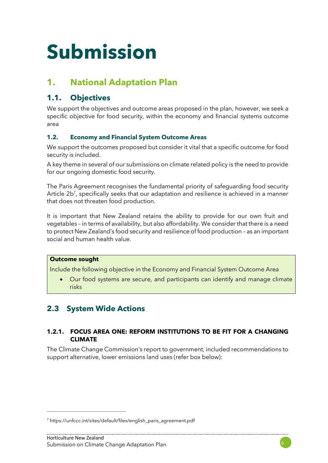# **Submission**

# **1. National Adaptation Plan**

## **1.1. Objectives**

We support the objectives and outcome areas proposed in the plan, however, we seek a specific objective for food security, within the economy and financial systems outcome area

### **1.2. Economy and Financial System Outcome Areas**

We support the outcomes proposed but consider it vital that a specific outcome for food security is included.

A key theme in several of our submissions on climate related policy is the need to provide for our ongoing domestic food security.

The Paris Agreement recognises the fundamental priority of safeguarding food security Article 2b<sup>7</sup>, specifically seeks that our adaptation and resilience is achieved in a manner that does not threaten food production.

It is important that New Zealand retains the ability to provide for our own fruit and vegetables – in terms of availability, but also affordability. We consider that there is a need to protect New Zealand's food security and resilience of food production – as an important social and human health value.

#### **Outcome sought**

Include the following objective in the Economy and Financial System Outcome Area

• Our food systems are secure, and participants can identify and manage climate risks

## **2.3 System Wide Actions**

#### **1.2.1. FOCUS AREA ONE: REFORM INSTITUTIONS TO BE FIT FOR A CHANGING CLIMATE**

The Climate Change Commission's report to government, included recommendations to support alternative, lower emissions land uses (refer box below):



<sup>7</sup> https://unfccc.int/sites/default/files/english\_paris\_agreement.pdf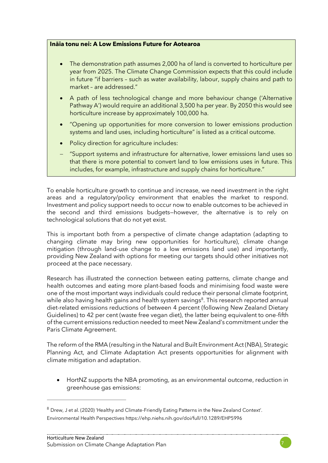#### **Ināia tonu nei: A Low Emissions Future for Aotearoa**

- The demonstration path assumes 2,000 ha of land is converted to horticulture per year from 2025. The Climate Change Commission expects that this could include in future "if barriers – such as water availability, labour, supply chains and path to market – are addressed."
- A path of less technological change and more behaviour change ('Alternative Pathway A') would require an additional 3,500 ha per year. By 2050 this would see horticulture increase by approximately 100,000 ha.
- "Opening up opportunities for more conversion to lower emissions production systems and land uses, including horticulture" is listed as a critical outcome.
- Policy direction for agriculture includes:
- − "Support systems and infrastructure for alternative, lower emissions land uses so that there is more potential to convert land to low emissions uses in future. This includes, for example, infrastructure and supply chains for horticulture."

To enable horticulture growth to continue and increase, we need investment in the right areas and a regulatory/policy environment that enables the market to respond. Investment and policy support needs to occur now to enable outcomes to be achieved in the second and third emissions budgets—however, the alternative is to rely on technological solutions that do not yet exist.

This is important both from a perspective of climate change adaptation (adapting to changing climate may bring new opportunities for horticulture), climate change mitigation (through land-use change to a low emissions land use) and importantly, providing New Zealand with options for meeting our targets should other initiatives not proceed at the pace necessary.

Research has illustrated the connection between eating patterns, climate change and health outcomes and eating more plant-based foods and minimising food waste were one of the most important ways individuals could reduce their personal climate footprint, while also having health gains and health system savings<sup>8</sup>. This research reported annual diet-related emissions reductions of between 4 percent (following New Zealand Dietary Guidelines) to 42 per cent (waste free vegan diet), the latter being equivalent to one-fifth of the current emissions reduction needed to meet New Zealand's commitment under the Paris Climate Agreement.

The reform of the RMA (resulting in the Natural and Built Environment Act (NBA), Strategic Planning Act, and Climate Adaptation Act presents opportunities for alignment with climate mitigation and adaptation.

• HortNZ supports the NBA promoting, as an environmental outcome, reduction in greenhouse gas emissions:



 $8$  Drew, J et al. (2020) 'Healthy and Climate-Friendly Eating Patterns in the New Zealand Context'. Environmental Health Perspectives<https://ehp.niehs.nih.gov/doi/full/10.1289/EHP5996>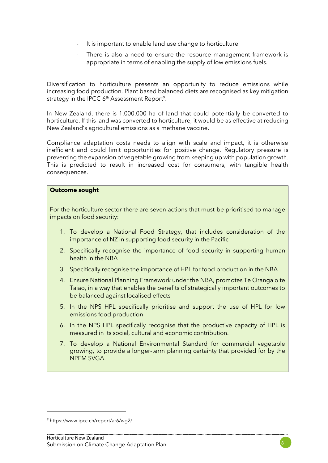- It is important to enable land use change to horticulture
- There is also a need to ensure the resource management framework is appropriate in terms of enabling the supply of low emissions fuels.

Diversification to horticulture presents an opportunity to reduce emissions while increasing food production. Plant based balanced diets are recognised as key mitigation strategy in the IPCC 6<sup>th</sup> Assessment Report<sup>9</sup>.

In New Zealand, there is 1,000,000 ha of land that could potentially be converted to horticulture. If this land was converted to horticulture, it would be as effective at reducing New Zealand's agricultural emissions as a methane vaccine.

Compliance adaptation costs needs to align with scale and impact, it is otherwise inefficient and could limit opportunities for positive change. Regulatory pressure is preventing the expansion of vegetable growing from keeping up with population growth. This is predicted to result in increased cost for consumers, with tangible health consequences.

#### **Outcome sought**

For the horticulture sector there are seven actions that must be prioritised to manage impacts on food security:

- 1. To develop a National Food Strategy, that includes consideration of the importance of NZ in supporting food security in the Pacific
- 2. Specifically recognise the importance of food security in supporting human health in the NBA
- 3. Specifically recognise the importance of HPL for food production in the NBA
- 4. Ensure National Planning Framework under the NBA, promotes Te Oranga o te Taiao, in a way that enables the benefits of strategically important outcomes to be balanced against localised effects
- 5. In the NPS HPL specifically prioritise and support the use of HPL for low emissions food production
- 6. In the NPS HPL specifically recognise that the productive capacity of HPL is measured in its social, cultural and economic contribution.
- 7. To develop a National Environmental Standard for commercial vegetable growing, to provide a longer-term planning certainty that provided for by the NPFM SVGA.

<sup>9</sup> https://www.ipcc.ch/report/ar6/wg2/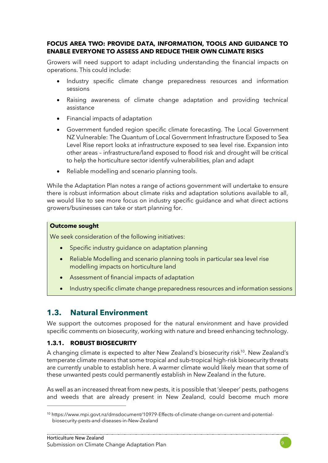#### **FOCUS AREA TWO: PROVIDE DATA, INFORMATION, TOOLS AND GUIDANCE TO ENABLE EVERYONE TO ASSESS AND REDUCE THEIR OWN CLIMATE RISKS**

Growers will need support to adapt including understanding the financial impacts on operations. This could include:

- Industry specific climate change preparedness resources and information sessions
- Raising awareness of climate change adaptation and providing technical assistance
- Financial impacts of adaptation
- Government funded region specific climate forecasting. The Local Government NZ Vulnerable: The Quantum of Local Government Infrastructure Exposed to Sea Level Rise report looks at infrastructure exposed to sea level rise. Expansion into other areas – infrastructure/land exposed to flood risk and drought will be critical to help the horticulture sector identify vulnerabilities, plan and adapt
- Reliable modelling and scenario planning tools.

While the Adaptation Plan notes a range of actions government will undertake to ensure there is robust information about climate risks and adaptation solutions available to all, we would like to see more focus on industry specific guidance and what direct actions growers/businesses can take or start planning for.

#### **Outcome sought**

We seek consideration of the following initiatives:

- Specific industry guidance on adaptation planning
- Reliable Modelling and scenario planning tools in particular sea level rise modelling impacts on horticulture land
- Assessment of financial impacts of adaptation
- Industry specific climate change preparedness resources and information sessions

### **1.3. Natural Environment**

We support the outcomes proposed for the natural environment and have provided specific comments on biosecurity, working with nature and breed enhancing technology.

#### **1.3.1. ROBUST BIOSECURITY**

A changing climate is expected to alter New Zealand's biosecurity risk<sup>10</sup>. New Zealand's temperate climate means that some tropical and sub-tropical high-risk biosecurity threats are currently unable to establish here. A warmer climate would likely mean that some of these unwanted pests could permanently establish in New Zealand in the future.

As well as an increased threat from new pests, it is possible that 'sleeper' pests, pathogens and weeds that are already present in New Zealand, could become much more



<sup>10</sup> https://www.mpi.govt.nz/dmsdocument/10979-Effects-of-climate-change-on-current-and-potentialbiosecurity-pests-and-diseases-in-New-Zealand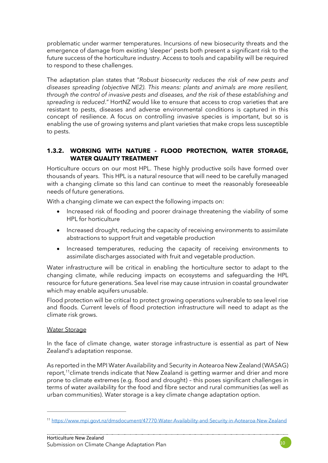problematic under warmer temperatures. Incursions of new biosecurity threats and the emergence of damage from existing 'sleeper' pests both present a significant risk to the future success of the horticulture industry. Access to tools and capability will be required to respond to these challenges.

The adaptation plan states that "*Robust biosecurity reduces the risk of new pests and diseases spreading (objective NE2). This means: plants and animals are more resilient, through the control of invasive pests and diseases, and the risk of these establishing and spreading is reduced*." HortNZ would like to ensure that access to crop varieties that are resistant to pests, diseases and adverse environmental conditions is captured in this concept of resilience. A focus on controlling invasive species is important, but so is enabling the use of growing systems and plant varieties that make crops less susceptible to pests.

#### **1.3.2. WORKING WITH NATURE - FLOOD PROTECTION, WATER STORAGE, WATER QUALITY TREATMENT**

Horticulture occurs on our most HPL. These highly productive soils have formed over thousands of years. This HPL is a natural resource that will need to be carefully managed with a changing climate so this land can continue to meet the reasonably foreseeable needs of future generations.

With a changing climate we can expect the following impacts on:

- Increased risk of flooding and poorer drainage threatening the viability of some HPL for horticulture
- Increased drought, reducing the capacity of receiving environments to assimilate abstractions to support fruit and vegetable production
- Increased temperatures, reducing the capacity of receiving environments to assimilate discharges associated with fruit and vegetable production.

Water infrastructure will be critical in enabling the horticulture sector to adapt to the changing climate, while reducing impacts on ecosystems and safeguarding the HPL resource for future generations. Sea level rise may cause intrusion in coastal groundwater which may enable aquifers unusable.

Flood protection will be critical to protect growing operations vulnerable to sea level rise and floods. Current levels of flood protection infrastructure will need to adapt as the climate risk grows.

#### Water Storage

In the face of climate change, water storage infrastructure is essential as part of New Zealand's adaptation response.

As reported in the MPI Water Availability and Security in Aotearoa New Zealand (WASAG) report,<sup>11</sup>climate trends indicate that New Zealand is getting warmer and drier and more prone to climate extremes (e.g. flood and drought) – this poses significant challenges in terms of water availability for the food and fibre sector and rural communities (as well as urban communities). Water storage is a key climate change adaptation option.

<sup>11</sup> <https://www.mpi.govt.nz/dmsdocument/47770-Water-Availability-and-Security-in-Aotearoa-New-Zealand>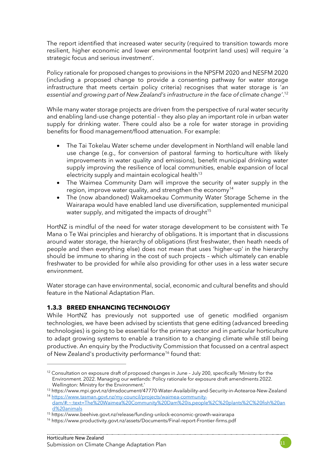The report identified that increased water security (required to transition towards more resilient, higher economic and lower environmental footprint land uses) will require 'a strategic focus and serious investment'.

Policy rationale for proposed changes to provisions in the NPSFM 2020 and NESFM 2020 (including a proposed change to provide a consenting pathway for water storage infrastructure that meets certain policy criteria) recognises that water storage is '*an essential and growing part of New Zealand's infrastructure in the face of climate change'*. 12

While many water storage projects are driven from the perspective of rural water security and enabling land-use change potential – they also play an important role in urban water supply for drinking water. There could also be a role for water storage in providing benefits for flood management/flood attenuation. For example:

- The Tai Tokelau Water scheme under development in Northland will enable land use change (e.g., for conversion of pastoral farming to horticulture with likely improvements in water quality and emissions), benefit municipal drinking water supply improving the resilience of local communities, enable expansion of local electricity supply and maintain ecological health<sup>13</sup>
- The Waimea Community Dam will improve the security of water supply in the region, improve water quality, and strengthen the economy<sup>14</sup>
- The (now abandoned) Wakamoekau Community Water Storage Scheme in the Wairarapa would have enabled land use diversification, supplemented municipal water supply, and mitigated the impacts of drought $15$

HortNZ is mindful of the need for water storage development to be consistent with Te Mana o Te Wai principles and hierarchy of obligations. It is important that in discussions around water storage, the hierarchy of obligations (first freshwater, then heath needs of people and then everything else) does not mean that uses 'higher-up' in the hierarchy should be immune to sharing in the cost of such projects – which ultimately can enable freshwater to be provided for while also providing for other uses in a less water secure environment.

Water storage can have environmental, social, economic and cultural benefits and should feature in the National Adaptation Plan.

#### **1.3.3 BREED ENHANCING TECHNOLOGY**

While HortNZ has previously not supported use of genetic modified organism technologies, we have been advised by scientists that gene editing (advanced breeding technologies) is going to be essential for the primary sector and in particular horticulture to adapt growing systems to enable a transition to a changing climate while still being productive. An enquiry by the Productivity Commission that focussed on a central aspect of New Zealand's productivity performance<sup>16</sup> found that:

<sup>&</sup>lt;sup>12</sup> Consultation on exposure draft of proposed changes in June - July 200, specifically 'Ministry for the Environment. 2022. Managing our wetlands: Policy rationale for exposure draft amendments 2022. Wellington: Ministry for the Environment.'

<sup>13</sup> https://www.mpi.govt.nz/dmsdocument/47770-Water-Availability-and-Security-in-Aotearoa-New-Zealand

<sup>14</sup> [https://www.tasman.govt.nz/my-council/projects/waimea-community](https://www.tasman.govt.nz/my-council/projects/waimea-community-dam/#:~:text=The%20Waimea%20Community%20Dam%20is,people%2C%20plants%2C%20fish%20and%20animals)[dam/#:~:text=The%20Waimea%20Community%20Dam%20is,people%2C%20plants%2C%20fish%20an](https://www.tasman.govt.nz/my-council/projects/waimea-community-dam/#:~:text=The%20Waimea%20Community%20Dam%20is,people%2C%20plants%2C%20fish%20and%20animals) [d%20animals](https://www.tasman.govt.nz/my-council/projects/waimea-community-dam/#:~:text=The%20Waimea%20Community%20Dam%20is,people%2C%20plants%2C%20fish%20and%20animals)

<sup>15</sup> https://www.beehive.govt.nz/release/funding-unlock-economic-growth-wairarapa

<sup>16</sup> https://www.productivity.govt.nz/assets/Documents/Final-report-Frontier-firms.pdf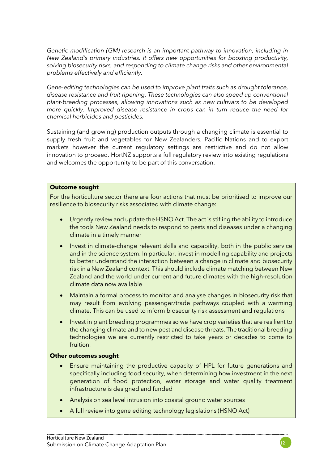*Genetic modification (GM) research is an important pathway to innovation, including in New Zealand's primary industries. It offers new opportunities for boosting productivity, solving biosecurity risks, and responding to climate change risks and other environmental problems effectively and efficiently.*

*Gene-editing technologies can be used to improve plant traits such as drought tolerance, disease resistance and fruit ripening. These technologies can also speed up conventional plant-breeding processes, allowing innovations such as new cultivars to be developed more quickly. Improved disease resistance in crops can in turn reduce the need for chemical herbicides and pesticides.* 

Sustaining (and growing) production outputs through a changing climate is essential to supply fresh fruit and vegetables for New Zealanders, Pacific Nations and to export markets however the current regulatory settings are restrictive and do not allow innovation to proceed. HortNZ supports a full regulatory review into existing regulations and welcomes the opportunity to be part of this conversation.

#### **Outcome sought**

For the horticulture sector there are four actions that must be prioritised to improve our resilience to biosecurity risks associated with climate change:

- Urgently review and update the HSNO Act. The act is stifling the ability to introduce the tools New Zealand needs to respond to pests and diseases under a changing climate in a timely manner
- Invest in climate-change relevant skills and capability, both in the public service and in the science system. In particular, invest in modelling capability and projects to better understand the interaction between a change in climate and biosecurity risk in a New Zealand context. This should include climate matching between New Zealand and the world under current and future climates with the high-resolution climate data now available
- Maintain a formal process to monitor and analyse changes in biosecurity risk that may result from evolving passenger/trade pathways coupled with a warming climate. This can be used to inform biosecurity risk assessment and regulations
- Invest in plant breeding programmes so we have crop varieties that are resilient to the changing climate and to new pest and disease threats. The traditional breeding technologies we are currently restricted to take years or decades to come to fruition.

#### **Other outcomes sought**

- Ensure maintaining the productive capacity of HPL for future generations and specifically including food security, when determining how investment in the next generation of flood protection, water storage and water quality treatment infrastructure is designed and funded
- Analysis on sea level intrusion into coastal ground water sources
- A full review into gene editing technology legislations (HSNO Act)

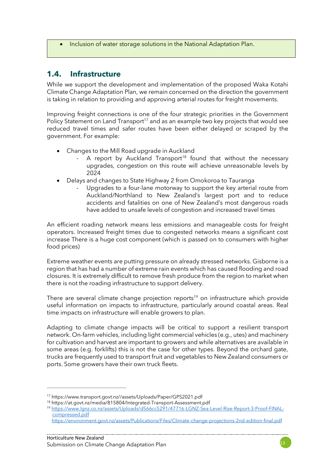• Inclusion of water storage solutions in the National Adaptation Plan.

## **1.4. Infrastructure**

While we support the development and implementation of the proposed Waka Kotahi Climate Change Adaptation Plan, we remain concerned on the direction the government is taking in relation to providing and approving arterial routes for freight movements.

Improving freight connections is one of the four strategic priorities in the Government Policy Statement on Land Transport<sup>17</sup> and as an example two key projects that would see reduced travel times and safer routes have been either delayed or scraped by the government. For example:

- Changes to the Mill Road upgrade in Auckland
	- A report by Auckland Transport<sup>18</sup> found that without the necessary upgrades, congestion on this route will achieve unreasonable levels by 2024
- Delays and changes to State Highway 2 from Omokoroa to Tauranga
	- Upgrades to a four-lane motorway to support the key arterial route from Auckland/Northland to New Zealand's largest port and to reduce accidents and fatalities on one of New Zealand's most dangerous roads have added to unsafe levels of congestion and increased travel times

An efficient roading network means less emissions and manageable costs for freight operators. Increased freight times due to congested networks means a significant cost increase There is a huge cost component (which is passed on to consumers with higher food prices)

Extreme weather events are putting pressure on already stressed networks. Gisborne is a region that has had a number of extreme rain events which has caused flooding and road closures. It is extremely difficult to remove fresh produce from the region to market when there is not the roading infrastructure to support delivery.

There are several climate change projection reports<sup>19</sup> on infrastructure which provide useful information on impacts to infrastructure, particularly around coastal areas. Real time impacts on infrastructure will enable growers to plan.

Adapting to climate change impacts will be critical to support a resilient transport network. On-farm vehicles, including light commercial vehicles (e.g., utes) and machinery for cultivation and harvest are important to growers and while alternatives are available in some areas (e.g. forklifts) this is not the case for other types. Beyond the orchard gate, trucks are frequently used to transport fruit and vegetables to New Zealand consumers or ports. Some growers have their own truck fleets.

<sup>17</sup> https://www.transport.govt.nz//assets/Uploads/Paper/GPS2021.pdf

<sup>18</sup> https://at.govt.nz/media/815804/Integrated-Transport-Assessment.pdf

<sup>19</sup> [https://www.lgnz.co.nz/assets/Uploads/d566cc5291/47716-LGNZ-Sea-Level-Rise-Report-3-Proof-FINAL](https://www.lgnz.co.nz/assets/Uploads/d566cc5291/47716-LGNZ-Sea-Level-Rise-Report-3-Proof-FINAL-compressed.pdf)[compressed.pdf](https://www.lgnz.co.nz/assets/Uploads/d566cc5291/47716-LGNZ-Sea-Level-Rise-Report-3-Proof-FINAL-compressed.pdf)

<https://environment.govt.nz/assets/Publications/Files/Climate-change-projections-2nd-edition-final.pdf>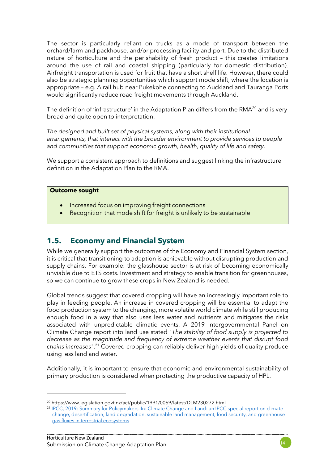The sector is particularly reliant on trucks as a mode of transport between the orchard/farm and packhouse, and/or processing facility and port. Due to the distributed nature of horticulture and the perishability of fresh product – this creates limitations around the use of rail and coastal shipping (particularly for domestic distribution). Airfreight transportation is used for fruit that have a short shelf life. However, there could also be strategic planning opportunities which support mode shift, where the location is appropriate – e.g. A rail hub near Pukekohe connecting to Auckland and Tauranga Ports would significantly reduce road freight movements through Auckland.

The definition of 'infrastructure' in the Adaptation Plan differs from the RMA<sup>20</sup> and is very broad and quite open to interpretation.

*The designed and built set of physical systems, along with their institutional arrangements, that interact with the broader environment to provide services to people and communities that support economic growth, health, quality of life and safety.*

We support a consistent approach to definitions and suggest linking the infrastructure definition in the Adaptation Plan to the RMA.

#### **Outcome sought**

- Increased focus on improving freight connections
- Recognition that mode shift for freight is unlikely to be sustainable

### **1.5. Economy and Financial System**

While we generally support the outcomes of the Economy and Financial System section, it is critical that transitioning to adaption is achievable without disrupting production and supply chains. For example: the glasshouse sector is at risk of becoming economically unviable due to ETS costs. Investment and strategy to enable transition for greenhouses, so we can continue to grow these crops in New Zealand is needed.

Global trends suggest that covered cropping will have an increasingly important role to play in feeding people. An increase in covered cropping will be essential to adapt the food production system to the changing, more volatile world climate while still producing enough food in a way that also uses less water and nutrients and mitigates the risks associated with unpredictable climatic events. A 2019 Intergovernmental Panel on Climate Change report into land use stated "*The stability of food supply is projected to decrease as the magnitude and frequency of extreme weather events that disrupt food chains increases*".<sup>21</sup> Covered cropping can reliably deliver high yields of quality produce using less land and water.

Additionally, it is important to ensure that economic and environmental sustainability of primary production is considered when protecting the productive capacity of HPL.

<sup>20</sup> https://www.legislation.govt.nz/act/public/1991/0069/latest/DLM230272.html

<sup>&</sup>lt;sup>21</sup> IPCC, 2019: Summary for Policymakers. In: Climate Change and Land: an IPCC special report on climate [change, desertification, land degradation, sustainable land management, food security, and greenhouse](https://www.ipcc.ch/srccl/chapter/summary-for-policymakers/)  [gas fluxes in terrestrial ecosystems](https://www.ipcc.ch/srccl/chapter/summary-for-policymakers/)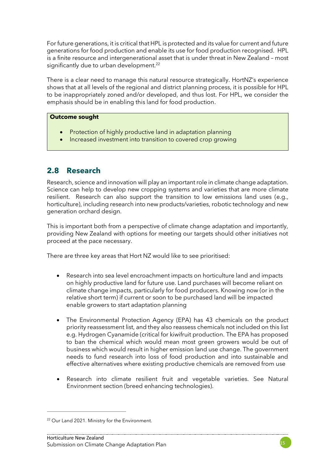For future generations, it is critical that HPL is protected and its value for current and future generations for food production and enable its use for food production recognised. HPL is a finite resource and intergenerational asset that is under threat in New Zealand – most significantly due to urban development.<sup>22</sup>

There is a clear need to manage this natural resource strategically. HortNZ's experience shows that at all levels of the regional and district planning process, it is possible for HPL to be inappropriately zoned and/or developed, and thus lost. For HPL, we consider the emphasis should be in enabling this land for food production.

#### **Outcome sought**

- Protection of highly productive land in adaptation planning
- Increased investment into transition to covered crop growing

## **2.8 Research**

Research, science and innovation will play an important role in climate change adaptation. Science can help to develop new cropping systems and varieties that are more climate resilient. Research can also support the transition to low emissions land uses (e.g., horticulture), including research into new products/varieties, robotic technology and new generation orchard design.

This is important both from a perspective of climate change adaptation and importantly, providing New Zealand with options for meeting our targets should other initiatives not proceed at the pace necessary.

There are three key areas that Hort NZ would like to see prioritised:

- Research into sea level encroachment impacts on horticulture land and impacts on highly productive land for future use. Land purchases will become reliant on climate change impacts, particularly for food producers. Knowing now (or in the relative short term) if current or soon to be purchased land will be impacted enable growers to start adaptation planning
- The Environmental Protection Agency (EPA) has 43 chemicals on the product priority reassessment list, and they also reassess chemicals not included on this list e.g. Hydrogen Cyanamide (critical for kiwifruit production. The EPA has proposed to ban the chemical which would mean most green growers would be out of business which would result in higher emission land use change. The government needs to fund research into loss of food production and into sustainable and effective alternatives where existing productive chemicals are removed from use
- Research into climate resilient fruit and vegetable varieties. See Natural Environment section (breed enhancing technologies).

<sup>&</sup>lt;sup>22</sup> Our Land 2021. Ministry for the Environment.